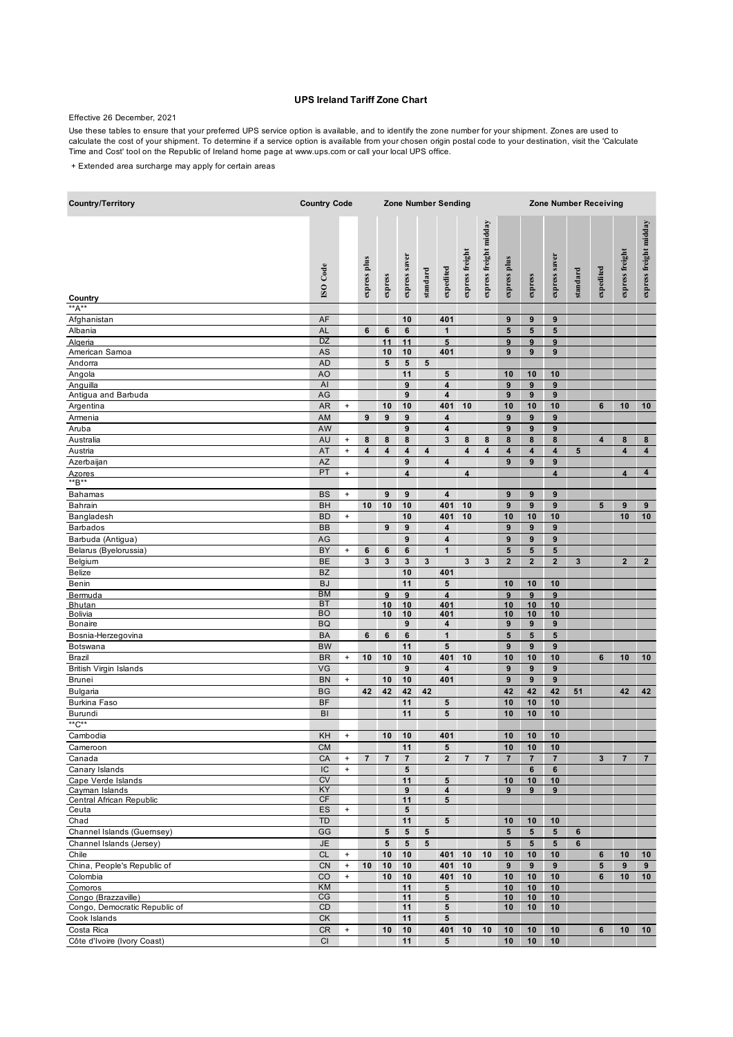## **UPS Ireland Tariff Zone Chart**

## Effective 26 December, 2021

Use these tables to ensure that your preferred UPS service option is available, and to identify the zone number for your shipment. Zones are used to calculate the cost of your shipment. To determine if a service option is available from your chosen origin postal code to your destination, visit the 'Calculate Time and Cost' tool on the Republic of Ireland home page at www.ups.com or call your local UPS office.

+ Extended area surcharge may apply for certain areas

| <b>Country/Territory</b>                             | <b>Country Code</b>    |                                  |                |                |                         | <b>Zone Number Sending</b> |                                |                 |                         |                       |                       | <b>Zone Number Receiving</b> |          |              |                         |                         |  |  |  |
|------------------------------------------------------|------------------------|----------------------------------|----------------|----------------|-------------------------|----------------------------|--------------------------------|-----------------|-------------------------|-----------------------|-----------------------|------------------------------|----------|--------------|-------------------------|-------------------------|--|--|--|
| Country                                              | <b>ISO</b> Code        |                                  | express plus   | express        | express saver           | standard                   | expedited                      | express freight | express freight midday  | express plus          | express               | express saver                | standard | expedited    | express freight         | express freight midday  |  |  |  |
| $A^{**}A^{**}$                                       |                        |                                  |                |                |                         |                            |                                |                 |                         |                       |                       |                              |          |              |                         |                         |  |  |  |
| Afghanistan                                          | AF                     |                                  |                |                | 10                      |                            | 401                            |                 |                         | 9                     | 9                     | 9                            |          |              |                         |                         |  |  |  |
| Albania                                              | <b>AL</b>              |                                  | 6              | 6              | 6                       |                            | $\mathbf{1}$                   |                 |                         | ${\bf 5}$             | 5                     | ${\bf 5}$                    |          |              |                         |                         |  |  |  |
| Algeria                                              | <b>DZ</b>              |                                  |                | 11             | 11                      |                            | $5\phantom{.0}$                |                 |                         | 9                     | 9                     | 9                            |          |              |                         |                         |  |  |  |
| American Samoa                                       | AS                     |                                  |                | 10             | 10                      |                            | 401                            |                 |                         | 9                     | 9                     | 9                            |          |              |                         |                         |  |  |  |
| Andorra                                              | <b>AD</b>              |                                  |                | 5              | 5                       | 5                          |                                |                 |                         |                       |                       |                              |          |              |                         |                         |  |  |  |
| Angola                                               | AO                     |                                  |                |                | 11                      |                            | 5                              |                 |                         | 10                    | 10                    | 10                           |          |              |                         |                         |  |  |  |
| Anguilla<br>Antigua and Barbuda                      | AI<br>AG               |                                  |                |                | 9<br>9                  |                            | $\overline{\mathbf{4}}$<br>4   |                 |                         | $\boldsymbol{9}$<br>9 | 9<br>$\boldsymbol{9}$ | 9<br>9                       |          |              |                         |                         |  |  |  |
| Argentina                                            | <b>AR</b>              | $\begin{array}{c} + \end{array}$ |                | 10             | 10                      |                            | 401                            | 10              |                         | 10                    | 10                    | 10                           |          | 6            | 10                      | 10                      |  |  |  |
| Armenia                                              | AM                     |                                  | 9              | 9              | 9                       |                            | 4                              |                 |                         | 9                     | $\boldsymbol{9}$      | 9                            |          |              |                         |                         |  |  |  |
| Aruba                                                | AW                     |                                  |                |                | 9                       |                            | 4                              |                 |                         | $\boldsymbol{9}$      | 9                     | 9                            |          |              |                         |                         |  |  |  |
| Australia                                            | AU                     | $^{\mathrm{+}}$                  | 8              | 8              | 8                       |                            | 3                              | 8               | 8                       | 8                     | 8                     | 8                            |          | 4            | 8                       | 8                       |  |  |  |
| Austria                                              | AT                     | $\begin{array}{c} + \end{array}$ | 4              | 4              | 4                       | 4                          |                                | 4               | 4                       | 4                     | 4                     | 4                            | 5        |              | $\overline{\mathbf{4}}$ | $\overline{\mathbf{4}}$ |  |  |  |
| Azerbaijan                                           | <b>AZ</b>              |                                  |                |                | 9                       |                            | 4                              |                 |                         | $\boldsymbol{9}$      | 9                     | 9                            |          |              |                         |                         |  |  |  |
| Azores                                               | PT                     | $\ddot{}$                        |                |                | $\overline{\mathbf{4}}$ |                            |                                | 4               |                         |                       |                       | $\overline{\mathbf{4}}$      |          |              | $\overline{\mathbf{4}}$ | 4                       |  |  |  |
| **B**                                                |                        |                                  |                |                |                         |                            |                                |                 |                         |                       |                       |                              |          |              |                         |                         |  |  |  |
| Bahamas                                              | <b>BS</b>              | $\ddot{}$                        |                | 9              | 9                       |                            | 4                              |                 |                         | 9                     | 9                     | 9                            |          |              |                         |                         |  |  |  |
| <b>Bahrain</b>                                       | <b>BH</b>              |                                  | 10             | 10             | 10                      |                            | 401                            | 10              |                         | 9                     | 9                     | 9                            |          | 5            | $9$                     | 9                       |  |  |  |
| Bangladesh                                           | <b>BD</b>              | $\ddot{}$                        |                |                | 10                      |                            | 401                            | 10              |                         | 10                    | 10                    | 10                           |          |              | 10                      | 10                      |  |  |  |
| <b>Barbados</b>                                      | <b>BB</b>              |                                  |                | 9              | 9                       |                            | 4                              |                 |                         | 9                     | 9                     | 9                            |          |              |                         |                         |  |  |  |
| Barbuda (Antigua)                                    | AG                     |                                  |                |                | 9                       |                            | 4                              |                 |                         | 9                     | 9                     | 9                            |          |              |                         |                         |  |  |  |
| Belarus (Byelorussia)                                | BY                     | $^{\mathrm{+}}$                  | 6              | 6              | 6                       |                            | $\mathbf{1}$                   |                 |                         | ${\bf 5}$             | ${\bf 5}$             | 5                            |          |              |                         |                         |  |  |  |
| Belgium                                              | BE                     |                                  | 3              | 3              | 3                       | 3                          |                                | 3               | 3                       | $\mathbf{2}$          | $\overline{2}$        | $\mathbf 2$                  | 3        |              | $\overline{\mathbf{2}}$ | $\mathbf{2}$            |  |  |  |
| <b>Belize</b>                                        | <b>BZ</b>              |                                  |                |                | 10                      |                            | 401                            |                 |                         |                       |                       |                              |          |              |                         |                         |  |  |  |
| Benin                                                | <b>BJ</b>              |                                  |                |                | 11                      |                            | 5                              |                 |                         | 10                    | 10                    | 10                           |          |              |                         |                         |  |  |  |
| Bermuda                                              | <b>BM</b><br><b>BT</b> |                                  |                | 9              | 9                       |                            | $\overline{\mathbf{4}}$<br>401 |                 |                         | $\boldsymbol{9}$      | $\boldsymbol{9}$      | 9                            |          |              |                         |                         |  |  |  |
| <b>Bhutan</b><br>Bolivia                             | <b>BO</b>              |                                  |                | 10<br>10       | 10<br>10                |                            | 401                            |                 |                         | 10<br>10              | 10<br>10              | 10<br>10                     |          |              |                         |                         |  |  |  |
| <b>Bonaire</b>                                       | <b>BQ</b>              |                                  |                |                | 9                       |                            | 4                              |                 |                         | 9                     | 9                     | 9                            |          |              |                         |                         |  |  |  |
| Bosnia-Herzegovina                                   | BA                     |                                  | 6              | 6              | 6                       |                            | $\mathbf{1}$                   |                 |                         | ${\bf 5}$             | 5                     | 5                            |          |              |                         |                         |  |  |  |
| Botswana                                             | <b>BW</b>              |                                  |                |                | 11                      |                            | $5\phantom{.0}$                |                 |                         | 9                     | 9                     | $\boldsymbol{9}$             |          |              |                         |                         |  |  |  |
| Brazil                                               | <b>BR</b>              | $^{\mathrm{+}}$                  | 10             | 10             | 10                      |                            | 401                            | 10              |                         | 10                    | 10                    | 10                           |          | 6            | 10                      | 10                      |  |  |  |
| <b>British Virgin Islands</b>                        | VG                     |                                  |                |                | 9                       |                            | 4                              |                 |                         | $\boldsymbol{9}$      | $\boldsymbol{9}$      | 9                            |          |              |                         |                         |  |  |  |
| <b>Brunei</b>                                        | <b>BN</b>              | $\begin{array}{c} + \end{array}$ |                | 10             | 10                      |                            | 401                            |                 |                         | $\boldsymbol{9}$      | $\boldsymbol{9}$      | 9                            |          |              |                         |                         |  |  |  |
| <b>Bulgaria</b>                                      | <b>BG</b>              |                                  | 42             | 42             | 42                      | 42                         |                                |                 |                         | 42                    | 42                    | 42                           | 51       |              | 42                      | 42                      |  |  |  |
| <b>Burkina Faso</b>                                  | <b>BF</b>              |                                  |                |                | 11                      |                            | 5                              |                 |                         | 10                    | 10                    | 10                           |          |              |                         |                         |  |  |  |
| Burundi                                              | BI                     |                                  |                |                | 11                      |                            | 5                              |                 |                         | 10                    | 10                    | 10                           |          |              |                         |                         |  |  |  |
| **C**                                                |                        |                                  |                |                |                         |                            |                                |                 |                         |                       |                       |                              |          |              |                         |                         |  |  |  |
| Cambodia                                             | KH                     | $\ddot{}$                        |                | 10             | 10                      |                            | 401                            |                 |                         | 10                    | 10                    | 10                           |          |              |                         |                         |  |  |  |
| Cameroon                                             | <b>CM</b>              |                                  |                |                | 11                      |                            | 5                              |                 |                         | 10                    | 10                    | 10                           |          |              |                         |                         |  |  |  |
| Canada                                               | CA                     | $\ddot{}$                        | $\overline{7}$ | $\overline{7}$ | $\overline{7}$          |                            | $\mathbf{2}$                   | $\overline{7}$  | $\overline{\mathbf{r}}$ | $\overline{7}$        | $\overline{7}$        | $\overline{\mathbf{7}}$      |          | $\mathbf{3}$ | $\overline{7}$          | $\overline{7}$          |  |  |  |
| Canary Islands                                       | IC<br><b>CV</b>        | $\ddot{}$                        |                |                | 5                       |                            |                                |                 |                         |                       | 6                     | 6                            |          |              |                         |                         |  |  |  |
| Cape Verde Islands<br>Cayman Islands                 | KY                     |                                  |                |                | 11<br>9                 |                            | $5\phantom{.0}$<br>4           |                 |                         | 10<br>9               | 10<br>9               | 10<br>9                      |          |              |                         |                         |  |  |  |
| Central African Republic                             | CF                     |                                  |                |                | 11                      |                            | 5                              |                 |                         |                       |                       |                              |          |              |                         |                         |  |  |  |
| Ceuta                                                | ES                     | $\pmb{+}$                        |                |                | $5\phantom{.0}$         |                            |                                |                 |                         |                       |                       |                              |          |              |                         |                         |  |  |  |
| Chad                                                 | TD                     |                                  |                |                | 11                      |                            | 5                              |                 |                         | 10                    | 10                    | 10                           |          |              |                         |                         |  |  |  |
| Channel Islands (Guernsey)                           | GG                     |                                  |                | 5              | $5\phantom{1}$          | 5                          |                                |                 |                         | $\sqrt{5}$            | $5\phantom{.0}$       | $5\phantom{.0}$              | 6        |              |                         |                         |  |  |  |
| Channel Islands (Jersey)                             | <b>JE</b>              |                                  |                | ${\bf 5}$      | $\sqrt{5}$              | 5                          |                                |                 |                         | $\sqrt{5}$            | 5                     | $5\phantom{.0}$              | 6        |              |                         |                         |  |  |  |
| Chile                                                | <b>CL</b>              | $\ddot{}$                        |                | 10             | 10                      |                            | 401                            | 10              | 10                      | 10                    | 10                    | 10                           |          | 6            | 10                      | 10                      |  |  |  |
| China, People's Republic of                          | <b>CN</b>              | $\bf{+}$                         | 10             | 10             | 10                      |                            | 401                            | 10              |                         | 9                     | 9                     | 9                            |          | 5            | $9$                     | 9                       |  |  |  |
| Colombia                                             | CO                     | $^{\mathrm{+}}$                  |                | 10             | 10                      |                            | 401                            | 10              |                         | 10                    | 10                    | 10                           |          | 6            | 10                      | 10                      |  |  |  |
| Comoros                                              | KM                     |                                  |                |                | 11                      |                            | ${\bf 5}$                      |                 |                         | 10                    | 10                    | 10                           |          |              |                         |                         |  |  |  |
| Congo (Brazzaville)<br>Congo, Democratic Republic of | CG<br>CD               |                                  |                |                | 11<br>11                |                            | 5<br>5                         |                 |                         | 10<br>10              | 10<br>10              | 10<br>10                     |          |              |                         |                         |  |  |  |
| Cook Islands                                         | CK                     |                                  |                |                | 11                      |                            | $5\phantom{.0}$                |                 |                         |                       |                       |                              |          |              |                         |                         |  |  |  |
| Costa Rica                                           | CR                     | $\pmb{+}$                        |                | 10             | 10                      |                            | 401                            | 10              | 10                      | 10                    | 10                    | 10                           |          | 6            | 10                      | 10                      |  |  |  |
| Côte d'Ivoire (Ivory Coast)                          | Cl                     |                                  |                |                | 11                      |                            | $5\phantom{.0}$                |                 |                         | 10                    | 10                    | 10                           |          |              |                         |                         |  |  |  |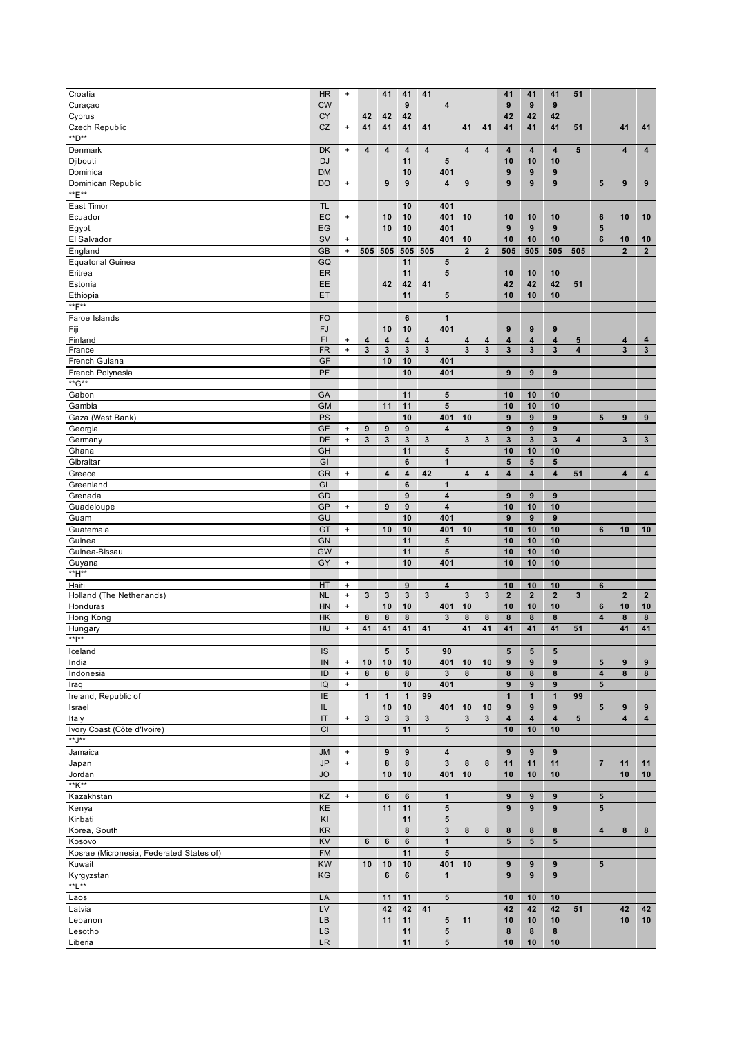| Croatia                                  | <b>HR</b>      | $\begin{array}{c} + \end{array}$ |                         | 41                      | 41                      | 41                      |                         |                         |                         | 41                      | 41                      | 41                      | 51                      |                         |                         |                         |
|------------------------------------------|----------------|----------------------------------|-------------------------|-------------------------|-------------------------|-------------------------|-------------------------|-------------------------|-------------------------|-------------------------|-------------------------|-------------------------|-------------------------|-------------------------|-------------------------|-------------------------|
| Curaçao                                  | <b>CW</b>      |                                  |                         |                         | 9                       |                         | $\overline{\mathbf{4}}$ |                         |                         | 9                       | 9                       | 9                       |                         |                         |                         |                         |
| Cyprus                                   | CY             |                                  | 42                      | 42                      | 42                      |                         |                         |                         |                         | 42                      | 42                      | 42                      |                         |                         |                         |                         |
|                                          |                |                                  |                         |                         |                         |                         |                         |                         |                         |                         |                         |                         |                         |                         |                         |                         |
| Czech Republic                           | <b>CZ</b>      | $\begin{array}{c} + \end{array}$ | 41                      | 41                      | 41                      | 41                      |                         | 41                      | 41                      | 41                      | 41                      | 41                      | 51                      |                         | 41                      | 41                      |
| **D**                                    |                |                                  |                         |                         |                         |                         |                         |                         |                         |                         |                         |                         |                         |                         |                         |                         |
| Denmark                                  | DK             | $\ddot{}$                        | 4                       | $\overline{\mathbf{4}}$ | $\overline{\mathbf{4}}$ | $\overline{\mathbf{4}}$ |                         | 4                       | $\overline{\mathbf{4}}$ | 4                       | 4                       | $\overline{\mathbf{4}}$ | $5\phantom{.0}$         |                         | $\overline{\mathbf{4}}$ | 4                       |
|                                          | <b>DJ</b>      |                                  |                         |                         |                         |                         |                         |                         |                         |                         |                         |                         |                         |                         |                         |                         |
| Djibouti                                 |                |                                  |                         |                         | 11                      |                         | 5                       |                         |                         | 10                      | 10                      | 10                      |                         |                         |                         |                         |
| Dominica                                 | <b>DM</b>      |                                  |                         |                         | 10                      |                         | 401                     |                         |                         | $\boldsymbol{9}$        | 9                       | 9                       |                         |                         |                         |                         |
| Dominican Republic                       | <b>DO</b>      | $\ddot{}$                        |                         | 9                       | 9                       |                         | 4                       | 9                       |                         | 9                       | 9                       | 9                       |                         | 5                       | 9                       | 9                       |
| **E**                                    |                |                                  |                         |                         |                         |                         |                         |                         |                         |                         |                         |                         |                         |                         |                         |                         |
|                                          |                |                                  |                         |                         |                         |                         |                         |                         |                         |                         |                         |                         |                         |                         |                         |                         |
| East Timor                               | <b>TL</b>      |                                  |                         |                         | 10                      |                         | 401                     |                         |                         |                         |                         |                         |                         |                         |                         |                         |
| Ecuador                                  | EC             | $\pmb{+}$                        |                         | 10                      | 10                      |                         | 401                     | 10                      |                         | 10                      | 10                      | 10                      |                         | 6                       | 10                      | 10                      |
|                                          |                |                                  |                         |                         |                         |                         |                         |                         |                         |                         |                         |                         |                         |                         |                         |                         |
| Egypt                                    | EG             |                                  |                         | 10                      | 10                      |                         | 401                     |                         |                         | $\boldsymbol{9}$        | 9                       | $\boldsymbol{9}$        |                         | $5\phantom{.0}$         |                         |                         |
| El Salvador                              | SV             | $\pmb{+}$                        |                         |                         | 10                      |                         | 401                     | 10                      |                         | 10                      | 10                      | 10                      |                         | 6                       | 10                      | 10                      |
| England                                  | <b>GB</b>      | $\begin{array}{c} + \end{array}$ |                         | 505 505                 | 505                     | 505                     |                         | $\overline{\mathbf{2}}$ | $\overline{\mathbf{2}}$ | 505                     | 505                     | 505                     | 505                     |                         | $\overline{\mathbf{2}}$ | $\overline{2}$          |
|                                          |                |                                  |                         |                         |                         |                         |                         |                         |                         |                         |                         |                         |                         |                         |                         |                         |
| <b>Equatorial Guinea</b>                 | GQ             |                                  |                         |                         | 11                      |                         | 5                       |                         |                         |                         |                         |                         |                         |                         |                         |                         |
| Eritrea                                  | ER             |                                  |                         |                         | 11                      |                         | 5                       |                         |                         | 10                      | 10                      | 10                      |                         |                         |                         |                         |
|                                          | EE             |                                  |                         | 42                      |                         |                         |                         |                         |                         |                         |                         |                         |                         |                         |                         |                         |
| Estonia                                  |                |                                  |                         |                         | 42                      | 41                      |                         |                         |                         | 42                      | 42                      | 42                      | 51                      |                         |                         |                         |
| Ethiopia                                 | ET             |                                  |                         |                         | 11                      |                         | ${\bf 5}$               |                         |                         | 10                      | 10                      | 10                      |                         |                         |                         |                         |
| **F**                                    |                |                                  |                         |                         |                         |                         |                         |                         |                         |                         |                         |                         |                         |                         |                         |                         |
|                                          |                |                                  |                         |                         |                         |                         |                         |                         |                         |                         |                         |                         |                         |                         |                         |                         |
| Faroe Islands                            | <b>FO</b>      |                                  |                         |                         | $\bf 6$                 |                         | $\mathbf{1}$            |                         |                         |                         |                         |                         |                         |                         |                         |                         |
| Fiji                                     | <b>FJ</b>      |                                  |                         | 10                      | 10                      |                         | 401                     |                         |                         | $\boldsymbol{9}$        | $\boldsymbol{9}$        | $\boldsymbol{9}$        |                         |                         |                         |                         |
| Finland                                  | F <sub>1</sub> | $\ddot{}$                        | $\overline{\mathbf{4}}$ | $\overline{\mathbf{4}}$ | 4                       | 4                       |                         | 4                       | 4                       | 4                       | 4                       | 4                       | 5                       |                         | 4                       | 4                       |
| France                                   | <b>FR</b>      | $\begin{array}{c} + \end{array}$ | $\mathbf{3}$            | $\mathbf{3}$            | 3                       | $\mathbf{3}$            |                         | $\mathbf{3}$            | 3                       | 3                       | 3                       | 3                       | 4                       |                         | $\mathbf{3}$            | $\mathbf{3}$            |
|                                          |                |                                  |                         |                         |                         |                         |                         |                         |                         |                         |                         |                         |                         |                         |                         |                         |
| French Guiana                            | GF             |                                  |                         | 10                      | 10                      |                         | 401                     |                         |                         |                         |                         |                         |                         |                         |                         |                         |
| French Polynesia                         | PF             |                                  |                         |                         | 10                      |                         | 401                     |                         |                         | 9                       | 9                       | 9                       |                         |                         |                         |                         |
| **G**                                    |                |                                  |                         |                         |                         |                         |                         |                         |                         |                         |                         |                         |                         |                         |                         |                         |
|                                          |                |                                  |                         |                         |                         |                         |                         |                         |                         |                         |                         |                         |                         |                         |                         |                         |
| Gabon                                    | GA             |                                  |                         |                         | 11                      |                         | 5                       |                         |                         | 10                      | 10                      | 10                      |                         |                         |                         |                         |
| Gambia                                   | <b>GM</b>      |                                  |                         | 11                      | 11                      |                         | 5                       |                         |                         | 10                      | 10                      | 10                      |                         |                         |                         |                         |
|                                          |                |                                  |                         |                         |                         |                         |                         |                         |                         |                         |                         |                         |                         |                         |                         |                         |
| Gaza (West Bank)                         | PS             |                                  |                         |                         | 10                      |                         | 401                     | 10                      |                         | 9                       | 9                       | 9                       |                         | 5                       | 9                       | 9                       |
| Georgia                                  | <b>GE</b>      | $\ddot{}$                        | 9                       | 9                       | 9                       |                         | 4                       |                         |                         | 9                       | 9                       | 9                       |                         |                         |                         |                         |
| Germany                                  | DE             | $\begin{array}{c} + \end{array}$ | $\mathbf{3}$            | $\mathbf 3$             | $\mathbf{3}$            | $\mathbf 3$             |                         | $\mathbf 3$             | 3                       | 3                       | $\mathbf{3}$            | 3                       | $\overline{\mathbf{4}}$ |                         | $\mathbf{3}$            | 3                       |
|                                          |                |                                  |                         |                         |                         |                         |                         |                         |                         |                         |                         |                         |                         |                         |                         |                         |
| Ghana                                    | GH             |                                  |                         |                         | 11                      |                         | ${\bf 5}$               |                         |                         | 10                      | 10                      | 10                      |                         |                         |                         |                         |
| Gibraltar                                | GI             |                                  |                         |                         | $\bf 6$                 |                         | $\mathbf{1}$            |                         |                         | 5                       | 5                       | 5                       |                         |                         |                         |                         |
|                                          |                |                                  |                         | $\overline{\mathbf{4}}$ | $\overline{\mathbf{4}}$ |                         |                         | 4                       | 4                       |                         |                         |                         |                         |                         | $\overline{\mathbf{4}}$ | 4                       |
| Greece                                   | <b>GR</b>      | $\ddot{}$                        |                         |                         |                         | 42                      |                         |                         |                         | $\overline{\mathbf{4}}$ | 4                       | 4                       | 51                      |                         |                         |                         |
| Greenland                                | GL             |                                  |                         |                         | 6                       |                         | $\mathbf{1}$            |                         |                         |                         |                         |                         |                         |                         |                         |                         |
| Grenada                                  | GD             |                                  |                         |                         | 9                       |                         | 4                       |                         |                         | 9                       | 9                       | 9                       |                         |                         |                         |                         |
|                                          |                |                                  |                         |                         |                         |                         |                         |                         |                         |                         |                         |                         |                         |                         |                         |                         |
| Guadeloupe                               | <b>GP</b>      | $^{\mathrm{+}}$                  |                         | $\boldsymbol{9}$        | 9                       |                         | 4                       |                         |                         | 10                      | 10                      | 10                      |                         |                         |                         |                         |
| Guam                                     | GU             |                                  |                         |                         | 10                      |                         | 401                     |                         |                         | $\boldsymbol{9}$        | $\boldsymbol{9}$        | $\boldsymbol{9}$        |                         |                         |                         |                         |
| Guatemala                                | GT             | $\ddot{}$                        |                         | 10                      | 10                      |                         | 401                     | 10                      |                         | 10                      | 10                      | 10                      |                         | 6                       | 10                      | 10                      |
|                                          |                |                                  |                         |                         |                         |                         |                         |                         |                         |                         |                         |                         |                         |                         |                         |                         |
| Guinea                                   | GN             |                                  |                         |                         | 11                      |                         | $5\phantom{.0}$         |                         |                         | 10                      | 10                      | 10                      |                         |                         |                         |                         |
| Guinea-Bissau                            | GW             |                                  |                         |                         | 11                      |                         | $5\phantom{.0}$         |                         |                         | 10                      | 10                      | 10                      |                         |                         |                         |                         |
|                                          | GY             |                                  |                         |                         | 10                      |                         | 401                     |                         |                         | 10                      |                         | 10                      |                         |                         |                         |                         |
| Guyana                                   |                | $\ddot{}$                        |                         |                         |                         |                         |                         |                         |                         |                         | 10                      |                         |                         |                         |                         |                         |
| **H**                                    |                |                                  |                         |                         |                         |                         |                         |                         |                         |                         |                         |                         |                         |                         |                         |                         |
| Haiti                                    | HT             | $\ddot{}$                        |                         |                         | 9                       |                         | $\overline{\mathbf{4}}$ |                         |                         | 10                      | 10                      | 10                      |                         | $6\phantom{1}$          |                         |                         |
| Holland (The Netherlands)                | <b>NL</b>      | $\ddot{}$                        | $\mathbf 3$             | $\mathbf 3$             | 3                       | 3                       |                         | $\mathbf 3$             | 3                       | $\mathbf 2$             | $\mathbf{2}$            | $\bf{2}$                | $\overline{\mathbf{3}}$ |                         | $\mathbf 2$             | $\overline{2}$          |
|                                          |                |                                  |                         |                         |                         |                         |                         |                         |                         |                         |                         |                         |                         |                         |                         |                         |
| Honduras                                 | HN             | $\pmb{+}$                        |                         | 10                      | 10                      |                         | 401                     | 10                      |                         | 10                      | 10                      | 10                      |                         | 6                       | 10                      | 10                      |
| Hong Kong                                | HK             |                                  | 8                       | 8                       | 8                       |                         | 3                       | 8                       | 8                       | 8                       | 8                       | 8                       |                         | 4                       | 8                       | 8                       |
| Hungary                                  | HU             | $\pmb{+}$                        | 41                      | 41                      | 41                      | 41                      |                         | 41                      | 41                      | 41                      | 41                      | 41                      | 51                      |                         | 41                      | 41                      |
|                                          |                |                                  |                         |                         |                         |                         |                         |                         |                         |                         |                         |                         |                         |                         |                         |                         |
| ** *                                     |                |                                  |                         |                         |                         |                         |                         |                         |                         |                         |                         |                         |                         |                         |                         |                         |
| Iceland                                  | IS             |                                  |                         | ${\bf 5}$               | 5                       |                         | 90                      |                         |                         | 5                       | 5                       | 5                       |                         |                         |                         |                         |
| India                                    | IN             | $\ddot{}$                        | 10                      | 10                      | 10                      |                         | 401                     | 10                      | 10                      | 9                       | 9                       | 9                       |                         | $5\phantom{.0}$         | 9                       | 9                       |
|                                          |                |                                  |                         |                         |                         |                         |                         |                         |                         |                         |                         |                         |                         |                         |                         |                         |
| Indonesia                                | ID             | $\pmb{+}$                        | 8                       | 8                       | $\bf8$                  |                         | $\mathbf{3}$            | 8                       |                         | 8                       | 8                       | 8                       |                         | $\overline{\mathbf{4}}$ | 8                       | 8                       |
| Iraq                                     | IQ             | $\begin{array}{c} + \end{array}$ |                         |                         | 10                      |                         | 401                     |                         |                         | $\boldsymbol{9}$        | $\boldsymbol{9}$        | $\boldsymbol{9}$        |                         | ${\bf 5}$               |                         |                         |
| Ireland, Republic of                     | IE             |                                  | $\mathbf{1}$            | $\mathbf{1}$            | $\mathbf{1}$            | 99                      |                         |                         |                         | $\mathbf{1}$            | $\mathbf{1}$            | $\mathbf{1}$            | 99                      |                         |                         |                         |
|                                          |                |                                  |                         |                         |                         |                         |                         |                         |                         |                         |                         |                         |                         |                         |                         |                         |
| Israel                                   | IL             |                                  |                         | 10                      | 10                      |                         | 401                     | 10                      | 10                      | 9                       | 9                       | 9                       |                         | 5                       | $\boldsymbol{9}$        | 9                       |
| Italy                                    | IT             | $\ddot{}$                        | $\mathbf{3}$            | 3                       | 3                       | 3                       |                         | 3                       | 3                       | 4                       | $\overline{\mathbf{4}}$ | 4                       | $5\phantom{.0}$         |                         | 4                       | $\overline{\mathbf{4}}$ |
|                                          | CI             |                                  |                         |                         |                         |                         |                         |                         |                         |                         |                         |                         |                         |                         |                         |                         |
| Ivory Coast (Côte d'Ivoire)              |                |                                  |                         |                         | 11                      |                         | 5                       |                         |                         | 10                      | 10                      | 10                      |                         |                         |                         |                         |
| $*$ $*$ $*$                              |                |                                  |                         |                         |                         |                         |                         |                         |                         |                         |                         |                         |                         |                         |                         |                         |
| Jamaica                                  | <b>JM</b>      | $\begin{array}{c} + \end{array}$ |                         | 9                       | 9                       |                         | $\overline{\mathbf{4}}$ |                         |                         | 9                       | 9                       | $\boldsymbol{9}$        |                         |                         |                         |                         |
|                                          |                |                                  |                         |                         |                         |                         |                         |                         |                         |                         |                         |                         |                         |                         |                         |                         |
| Japan                                    | <b>JP</b>      | $^{\mathrm{+}}$                  |                         | 8                       | 8                       |                         | $\mathbf 3$             | 8                       | 8                       | 11                      | 11                      | 11                      |                         | $\overline{7}$          | 11                      | 11                      |
| Jordan                                   | <b>JO</b>      |                                  |                         | 10                      | 10                      |                         | 401                     | 10                      |                         | 10                      | 10                      | 10                      |                         |                         | 10                      | 10                      |
| **K**                                    |                |                                  |                         |                         |                         |                         |                         |                         |                         |                         |                         |                         |                         |                         |                         |                         |
|                                          |                | $\begin{array}{c} + \end{array}$ |                         |                         |                         |                         |                         |                         |                         |                         |                         |                         |                         |                         |                         |                         |
| Kazakhstan                               | KZ             |                                  |                         | 6                       | $\boldsymbol{6}$        |                         | $\mathbf{1}$            |                         |                         | 9                       | 9                       | $\boldsymbol{9}$        |                         | 5                       |                         |                         |
| Kenya                                    | KE             |                                  |                         | 11                      | 11                      |                         | 5                       |                         |                         | 9                       | 9                       | $\boldsymbol{9}$        |                         | $5\phantom{.0}$         |                         |                         |
| Kiribati                                 | KI             |                                  |                         |                         | 11                      |                         | 5                       |                         |                         |                         |                         |                         |                         |                         |                         |                         |
|                                          |                |                                  |                         |                         |                         |                         |                         |                         |                         |                         |                         |                         |                         |                         |                         |                         |
| Korea, South                             | <b>KR</b>      |                                  |                         |                         | 8                       |                         | $\mathbf{3}$            | 8                       | 8                       | 8                       | 8                       | 8                       |                         | 4                       | 8                       | 8                       |
| Kosovo                                   | KV             |                                  | 6                       | 6                       | 6                       |                         | $\mathbf{1}$            |                         |                         | 5                       | 5                       | 5                       |                         |                         |                         |                         |
| Kosrae (Micronesia, Federated States of) | <b>FM</b>      |                                  |                         |                         | 11                      |                         | ${\bf 5}$               |                         |                         |                         |                         |                         |                         |                         |                         |                         |
|                                          |                |                                  |                         |                         |                         |                         |                         |                         |                         |                         |                         |                         |                         |                         |                         |                         |
| Kuwait                                   | KW             |                                  | 10                      | 10                      | 10                      |                         | 401                     | 10                      |                         | 9                       | 9                       | 9                       |                         | $\sqrt{5}$              |                         |                         |
| Kyrgyzstan                               | KG             |                                  |                         | $\bf 6$                 | 6                       |                         | $\mathbf{1}$            |                         |                         | 9                       | 9                       | 9                       |                         |                         |                         |                         |
| $*$ L $*$                                |                |                                  |                         |                         |                         |                         |                         |                         |                         |                         |                         |                         |                         |                         |                         |                         |
|                                          |                |                                  |                         |                         |                         |                         |                         |                         |                         |                         |                         |                         |                         |                         |                         |                         |
| Laos                                     | LA             |                                  |                         | 11                      | 11                      |                         | $5\phantom{.0}$         |                         |                         | 10                      | 10                      | 10                      |                         |                         |                         |                         |
| Latvia                                   | LV             |                                  |                         | 42                      | 42                      | 41                      |                         |                         |                         | 42                      | 42                      | 42                      | 51                      |                         | 42                      | 42                      |
| Lebanon                                  | LB             |                                  |                         | 11                      | 11                      |                         | 5                       | 11                      |                         | 10                      | 10                      | 10                      |                         |                         | 10                      | 10                      |
|                                          |                |                                  |                         |                         |                         |                         |                         |                         |                         |                         |                         |                         |                         |                         |                         |                         |
| Lesotho                                  | LS             |                                  |                         |                         | 11                      |                         | 5                       |                         |                         | 8                       | 8                       | 8                       |                         |                         |                         |                         |
| Liberia                                  | <b>LR</b>      |                                  |                         |                         | 11                      |                         | 5                       |                         |                         | 10                      | 10                      | 10                      |                         |                         |                         |                         |
|                                          |                |                                  |                         |                         |                         |                         |                         |                         |                         |                         |                         |                         |                         |                         |                         |                         |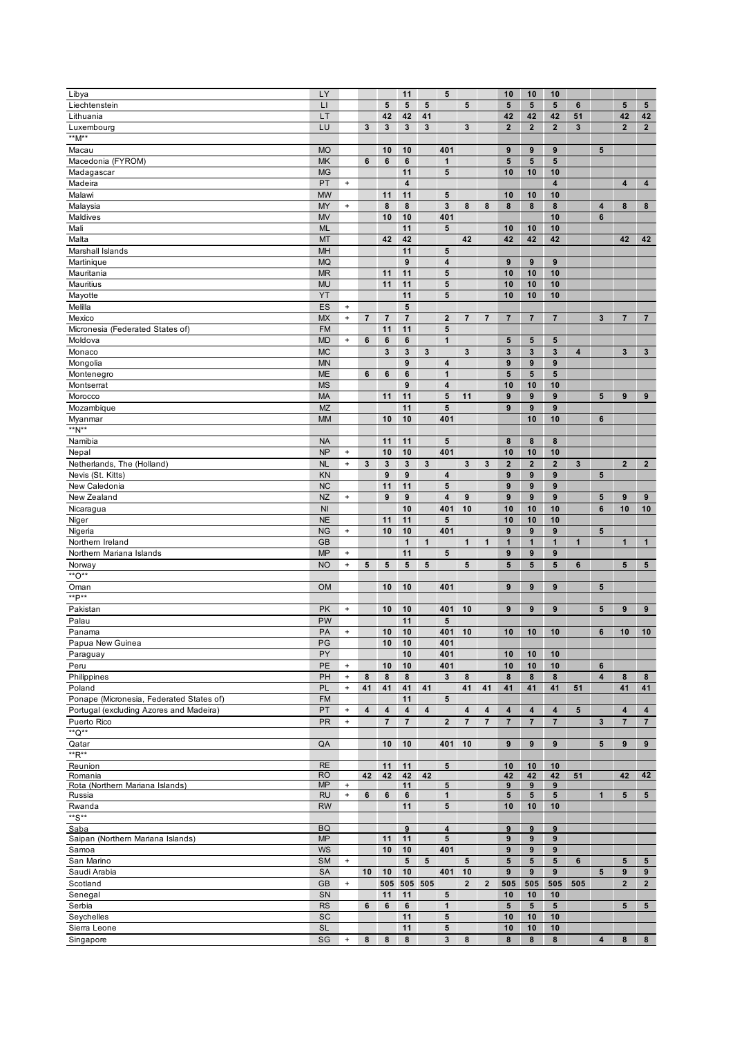| Libya                                    | LY              |                                  |                         |                         | 11                      |                         | $5\phantom{.0}$         |                         |                         | 10                      | 10               | 10                      |              |                         |                         |                         |
|------------------------------------------|-----------------|----------------------------------|-------------------------|-------------------------|-------------------------|-------------------------|-------------------------|-------------------------|-------------------------|-------------------------|------------------|-------------------------|--------------|-------------------------|-------------------------|-------------------------|
| Liechtenstein                            | $\mathsf{L}$    |                                  |                         | 5                       | 5                       | 5                       |                         | 5                       |                         | $5\phantom{1}$          | $5\phantom{1}$   | 5                       | 6            |                         | $5\phantom{.0}$         | ${\bf 5}$               |
| Lithuania                                | LT              |                                  |                         | 42                      | 42                      | 41                      |                         |                         |                         | 42                      | 42               | 42                      | 51           |                         | 42                      | 42                      |
| Luxembourg                               | LU              |                                  | $\mathbf{3}$            | $\overline{\mathbf{3}}$ | $\mathbf{3}$            | 3                       |                         | 3                       |                         | $\overline{2}$          | $\mathbf{2}$     | $\overline{2}$          | $\mathbf{3}$ |                         | $\overline{2}$          | $2^{\circ}$             |
| **M**                                    |                 |                                  |                         |                         |                         |                         |                         |                         |                         |                         |                  |                         |              |                         |                         |                         |
| Macau                                    | <b>MO</b>       |                                  |                         | 10                      | 10                      |                         | 401                     |                         |                         | 9                       | 9                | 9                       |              | 5                       |                         |                         |
| Macedonia (FYROM)                        | <b>MK</b>       |                                  | $\bf 6$                 | 6                       | 6                       |                         | $\mathbf{1}$            |                         |                         | 5                       | 5                | 5                       |              |                         |                         |                         |
| Madagascar                               | <b>MG</b>       |                                  |                         |                         | 11                      |                         | 5                       |                         |                         | 10                      | 10               | 10                      |              |                         |                         |                         |
| Madeira                                  | PT              | $\bf{+}$                         |                         |                         | $\overline{\mathbf{4}}$ |                         |                         |                         |                         |                         |                  | 4                       |              |                         | $\overline{\mathbf{4}}$ | 4                       |
| Malawi                                   | <b>MW</b>       |                                  |                         | 11                      | 11                      |                         | 5                       |                         |                         | 10                      | 10               | 10                      |              |                         |                         |                         |
| Malaysia                                 | <b>MY</b>       | $\bf{+}$                         |                         | 8                       | 8                       |                         | $\mathbf{3}$            | 8                       | 8                       | 8                       | 8                | 8                       |              | 4                       | 8                       | 8                       |
| Maldives                                 | <b>MV</b>       |                                  |                         | 10                      | 10                      |                         | 401                     |                         |                         |                         |                  | 10                      |              | 6                       |                         |                         |
| Mali                                     | <b>ML</b>       |                                  |                         |                         | 11                      |                         | 5                       |                         |                         | 10                      | 10               | 10                      |              |                         |                         |                         |
| Malta                                    | MT              |                                  |                         | 42                      | 42                      |                         |                         | 42                      |                         | 42                      | 42               | 42                      |              |                         | 42                      | 42                      |
| Marshall Islands                         | MH              |                                  |                         |                         | 11                      |                         | 5                       |                         |                         |                         |                  |                         |              |                         |                         |                         |
| Martinique                               | <b>MQ</b>       |                                  |                         |                         | 9                       |                         | 4                       |                         |                         | 9                       | $\pmb{9}$        | 9                       |              |                         |                         |                         |
| Mauritania                               | MR              |                                  |                         | 11                      | 11                      |                         | 5                       |                         |                         | 10                      | 10               | 10                      |              |                         |                         |                         |
| Mauritius                                | <b>MU</b>       |                                  |                         | 11                      | 11                      |                         | 5                       |                         |                         | 10                      | 10               | 10                      |              |                         |                         |                         |
| Mayotte                                  | YT              |                                  |                         |                         | 11                      |                         | 5                       |                         |                         | 10                      | 10               | 10                      |              |                         |                         |                         |
| Melilla                                  | ES              | $\begin{array}{c} + \end{array}$ |                         |                         | 5                       |                         |                         |                         |                         |                         |                  |                         |              |                         |                         |                         |
| Mexico                                   | <b>MX</b>       | $\bf{+}$                         | $\overline{\mathbf{7}}$ | $\overline{7}$          | $\overline{7}$          |                         | $\mathbf{2}$            | $\overline{7}$          | $\overline{7}$          | $\overline{\mathbf{7}}$ | $\overline{7}$   | $\overline{\mathbf{r}}$ |              | 3                       | $\overline{7}$          | $\overline{7}$          |
| Micronesia (Federated States of)         | <b>FM</b>       |                                  |                         | 11                      | 11                      |                         | ${\bf 5}$               |                         |                         |                         |                  |                         |              |                         |                         |                         |
| Moldova                                  | <b>MD</b>       | $\bf{+}$                         | 6                       | $\bf 6$                 | 6                       |                         | $\mathbf{1}$            |                         |                         | ${\bf 5}$               | 5                | 5                       |              |                         |                         |                         |
| Monaco                                   | <b>MC</b>       |                                  |                         | 3                       | 3                       | 3                       |                         | 3                       |                         | $\mathbf 3$             | $\mathbf{3}$     | 3                       | 4            |                         | $\mathbf 3$             | $\mathbf 3$             |
|                                          |                 |                                  |                         |                         | 9                       |                         |                         |                         |                         |                         |                  |                         |              |                         |                         |                         |
| Mongolia                                 | <b>MN</b>       |                                  |                         |                         |                         |                         | 4                       |                         |                         | $\boldsymbol{9}$        | 9                | 9                       |              |                         |                         |                         |
| Montenegro                               | <b>ME</b>       |                                  | 6                       | 6                       | 6                       |                         | 1                       |                         |                         | ${\bf 5}$               | ${\bf 5}$        | 5                       |              |                         |                         |                         |
| Montserrat                               | <b>MS</b>       |                                  |                         |                         | 9                       |                         | 4                       |                         |                         | 10                      | 10               | 10                      |              |                         |                         |                         |
| Morocco                                  | <b>MA</b>       |                                  |                         | 11                      | 11                      |                         | 5                       | 11                      |                         | 9                       | 9                | 9                       |              | 5                       | 9                       | 9                       |
| Mozambique                               | <b>MZ</b>       |                                  |                         |                         | 11                      |                         | $5\phantom{.0}$         |                         |                         | 9                       | $\pmb{9}$        | 9                       |              |                         |                         |                         |
| Myanmar                                  | <b>MM</b>       |                                  |                         | 10                      | 10                      |                         | 401                     |                         |                         |                         | 10               | 10                      |              | 6                       |                         |                         |
| $*^*N^{**}$                              |                 |                                  |                         |                         |                         |                         |                         |                         |                         |                         |                  |                         |              |                         |                         |                         |
| Namibia                                  | <b>NA</b>       |                                  |                         | 11                      | 11                      |                         | 5                       |                         |                         | 8                       | 8                | 8                       |              |                         |                         |                         |
| Nepal                                    | <b>NP</b>       | $\bf{+}$                         |                         | 10                      | 10                      |                         | 401                     |                         |                         | 10                      | 10               | 10                      |              |                         |                         |                         |
| Netherlands, The (Holland)               | <b>NL</b>       | $\begin{array}{c} + \end{array}$ | 3                       | 3                       | 3                       | 3                       |                         | 3                       | 3                       | $\boldsymbol{2}$        | $\mathbf{2}$     | $\overline{2}$          | 3            |                         | $\overline{\mathbf{2}}$ | $\mathbf{2}$            |
| Nevis (St. Kitts)                        | KN              |                                  |                         | $\boldsymbol{9}$        | 9                       |                         | 4                       |                         |                         | 9                       | $\pmb{9}$        | 9                       |              | 5                       |                         |                         |
| New Caledonia                            | <b>NC</b>       |                                  |                         | 11                      | 11                      |                         | 5                       |                         |                         | 9                       | 9                | 9                       |              |                         |                         |                         |
| New Zealand                              | <b>NZ</b>       | $\pmb{+}$                        |                         | 9                       | 9                       |                         | $\overline{\mathbf{4}}$ | 9                       |                         | $\boldsymbol{9}$        | $\boldsymbol{9}$ | 9                       |              | 5                       | 9                       | $\boldsymbol{9}$        |
| Nicaragua                                | N <sub>l</sub>  |                                  |                         |                         | 10                      |                         | 401                     | 10                      |                         | 10                      | 10               | 10                      |              | 6                       | 10                      | 10                      |
| Niger                                    | <b>NE</b>       |                                  |                         | 11                      | 11                      |                         | 5                       |                         |                         | 10                      | 10               | 10                      |              |                         |                         |                         |
| Nigeria                                  | <b>NG</b>       | $\ddot{}$                        |                         | 10                      | 10                      |                         | 401                     |                         |                         | 9                       | 9                | 9                       |              | ${\bf 5}$               |                         |                         |
| Northern Ireland                         | <b>GB</b>       |                                  |                         |                         | $\mathbf{1}$            | $\mathbf{1}$            |                         | $\mathbf{1}$            | $\mathbf{1}$            | $\mathbf{1}$            | $\mathbf{1}$     | $\mathbf{1}$            | 1            |                         | $\mathbf{1}$            | $\mathbf{1}$            |
| Northern Mariana Islands                 | <b>MP</b>       | $\ddot{}$                        |                         |                         | 11                      |                         | 5                       |                         |                         | 9                       | $\boldsymbol{9}$ | 9                       |              |                         |                         |                         |
| Norway                                   | <b>NO</b>       | $\pmb{+}$                        | ${\bf 5}$               | 5                       | 5                       | 5                       |                         | 5                       |                         | $5\phantom{.0}$         | 5                | 5                       | 6            |                         | $5\phantom{.0}$         | 5                       |
| $*{^*}O**$                               |                 |                                  |                         |                         |                         |                         |                         |                         |                         |                         |                  |                         |              |                         |                         |                         |
|                                          |                 |                                  |                         |                         |                         |                         |                         |                         |                         |                         |                  |                         |              |                         |                         |                         |
| Oman<br>**P**                            | <b>OM</b>       |                                  |                         | 10                      | 10                      |                         | 401                     |                         |                         | 9                       | $\boldsymbol{9}$ | 9                       |              | 5                       |                         |                         |
|                                          |                 |                                  |                         |                         |                         |                         |                         |                         |                         |                         |                  |                         |              |                         |                         |                         |
| Pakistan                                 | PK              | $\pmb{+}$                        |                         | 10                      | 10                      |                         | 401                     | 10                      |                         | 9                       | 9                | 9                       |              | $5\phantom{.0}$         | 9                       | $\boldsymbol{9}$        |
| Palau                                    | PW              |                                  |                         |                         | 11                      |                         | 5                       |                         |                         |                         |                  |                         |              |                         |                         |                         |
| Panama                                   | PA              | $\begin{array}{c} + \end{array}$ |                         | 10                      | 10                      |                         | 401                     | 10                      |                         | 10                      | 10               | 10                      |              | 6                       | 10                      | 10                      |
| Papua New Guinea                         | PG              |                                  |                         | 10                      | 10                      |                         | 401                     |                         |                         |                         |                  |                         |              |                         |                         |                         |
| Paraguay                                 | PY              |                                  |                         |                         | 10                      |                         | 401                     |                         |                         | 10                      | 10               | 10                      |              |                         |                         |                         |
| Peru                                     | PE              | $\begin{array}{c} + \end{array}$ |                         | 10                      | 10                      |                         | 401                     |                         |                         | 10                      | 10               | 10                      |              | 6                       |                         |                         |
| Philippines                              | PH              | $\pmb{+}$                        | $\bf8$                  | 8                       | 8                       |                         | $\mathbf{3}$            | 8                       |                         | 8                       | 8                | 8                       |              | $\overline{\mathbf{4}}$ | $\bf8$                  | 8                       |
| Poland                                   | PL              | $\ddag$                          | 41                      | 41                      | 41                      | 41                      |                         | 41                      | 41                      | 41                      | 41               | 41                      | 51           |                         | 41                      | 41                      |
| Ponape (Micronesia, Federated States of) | <b>FM</b>       |                                  |                         |                         | 11                      |                         | 5                       |                         |                         |                         |                  |                         |              |                         |                         |                         |
| Portugal (excluding Azores and Madeira)  | PT              | $\bf{+}$                         | $\overline{\mathbf{4}}$ | $\overline{\mathbf{4}}$ | $\overline{\mathbf{4}}$ | $\overline{\mathbf{4}}$ |                         | $\overline{\mathbf{4}}$ | $\overline{\mathbf{4}}$ | $\overline{\mathbf{4}}$ | 4                | 4                       | 5            |                         | $\overline{\mathbf{4}}$ | $\overline{\mathbf{4}}$ |
| Puerto Rico                              | <b>PR</b>       | $\ddag$                          |                         | $\overline{7}$          | $\overline{7}$          |                         | $\mathbf{2}$            | $\overline{7}$          | $\overline{7}$          | $\overline{7}$          | $\overline{7}$   | $\overline{\mathbf{r}}$ |              | $\mathbf{3}$            | $\overline{7}$          | $\overline{7}$          |
| $*$ *Q**                                 |                 |                                  |                         |                         |                         |                         |                         |                         |                         |                         |                  |                         |              |                         |                         |                         |
| Qatar                                    | QA              |                                  |                         | 10                      | 10                      |                         | 401                     | 10                      |                         | 9                       | $\boldsymbol{9}$ | 9                       |              | 5                       | 9                       | 9                       |
| $*R**$                                   |                 |                                  |                         |                         |                         |                         |                         |                         |                         |                         |                  |                         |              |                         |                         |                         |
| Reunion                                  | <b>RE</b>       |                                  |                         | 11                      | 11                      |                         | $5\phantom{.0}$         |                         |                         | 10                      | 10               | 10                      |              |                         |                         |                         |
| Romania                                  | <b>RO</b>       |                                  | 42                      | 42                      | 42                      | 42                      |                         |                         |                         | 42                      | 42               | 42                      | 51           |                         | 42                      | 42                      |
| Rota (Northern Mariana Islands)          | <b>MP</b>       | $\ddot{}$                        |                         |                         | 11                      |                         | ${\bf 5}$               |                         |                         | 9                       | 9                | 9                       |              |                         |                         |                         |
| Russia                                   | <b>RU</b>       | $\pmb{+}$                        | $\bf 6$                 | 6                       | 6                       |                         | $\mathbf{1}$            |                         |                         | $\sqrt{5}$              | ${\bf 5}$        | 5                       |              | $\mathbf{1}$            | 5                       | $5\phantom{.0}$         |
| Rwanda                                   | <b>RW</b>       |                                  |                         |                         | 11                      |                         | $5\phantom{.0}$         |                         |                         | 10                      | 10               | 10                      |              |                         |                         |                         |
| **S**                                    |                 |                                  |                         |                         |                         |                         |                         |                         |                         |                         |                  |                         |              |                         |                         |                         |
| Saba                                     | <b>BQ</b>       |                                  |                         |                         | 9                       |                         | $\overline{\mathbf{4}}$ |                         |                         | $\boldsymbol{9}$        | $\boldsymbol{9}$ | 9                       |              |                         |                         |                         |
| Saipan (Northern Mariana Islands)        | <b>MP</b>       |                                  |                         | 11                      | 11                      |                         | 5                       |                         |                         | 9                       | 9                | 9                       |              |                         |                         |                         |
| Samoa                                    | <b>WS</b>       |                                  |                         | 10                      | 10                      |                         | 401                     |                         |                         | 9                       | 9                | 9                       |              |                         |                         |                         |
| San Marino                               | <b>SM</b>       | $\bf{+}$                         |                         |                         | $5\phantom{.0}$         | ${\bf 5}$               |                         | 5                       |                         | ${\bf 5}$               | $5\phantom{.0}$  | 5                       | 6            |                         | $5\phantom{.0}$         | $5\phantom{.0}$         |
| Saudi Arabia                             | SA              |                                  | 10                      | 10                      | 10                      |                         | 401                     | 10                      |                         | $\boldsymbol{9}$        | 9                | 9                       |              | 5                       | 9                       | 9                       |
| Scotland                                 | <b>GB</b>       | $\pmb{+}$                        |                         |                         | 505 505                 | 505                     |                         | $\overline{\mathbf{2}}$ | $\mathbf{2}$            | 505                     | 505              | 505                     | 505          |                         | $\mathbf{2}$            | $\mathbf{2}$            |
| Senegal                                  | SN              |                                  |                         | 11                      | 11                      |                         | ${\bf 5}$               |                         |                         | 10                      | 10               | 10                      |              |                         |                         |                         |
| Serbia                                   | <b>RS</b>       |                                  | $\bf 6$                 | $\bf 6$                 | $\bf 6$                 |                         | $\mathbf{1}$            |                         |                         | $\sqrt{5}$              | $5\phantom{.0}$  | 5                       |              |                         | $5\phantom{.0}$         | $5\phantom{.0}$         |
|                                          | SC              |                                  |                         |                         | 11                      |                         | ${\bf 5}$               |                         |                         |                         |                  |                         |              |                         |                         |                         |
| Seychelles                               |                 |                                  |                         |                         |                         |                         |                         |                         |                         | 10                      | 10               | 10                      |              |                         |                         |                         |
| Sierra Leone                             | <b>SL</b><br>SG |                                  |                         |                         | 11<br>8                 |                         | 5                       |                         |                         | 10                      | 10               | 10                      |              |                         |                         |                         |
| Singapore                                |                 | $\pmb{+}$                        | 8                       | 8                       |                         |                         | 3                       | 8                       |                         | 8                       | 8                | 8                       |              | 4                       | 8                       | 8                       |